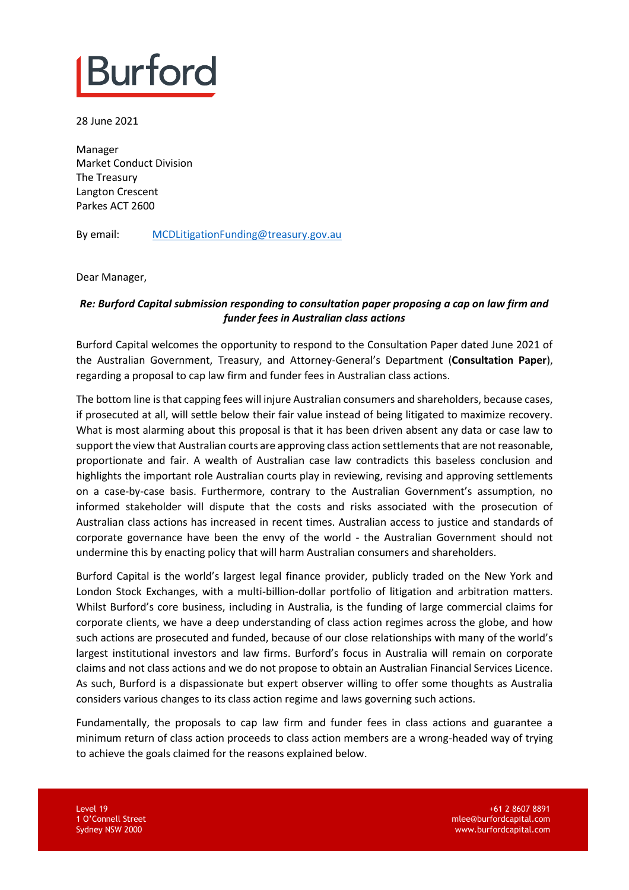## **Burford**

28 June 2021

Manager Market Conduct Division The Treasury Langton Crescent Parkes ACT 2600

By email: [MCDLitigationFunding@treasury.gov.au](mailto:MCDLitigationFunding@treasury.gov.au)

Dear Manager,

## *Re: Burford Capital submission responding to consultation paper proposing a cap on law firm and funder fees in Australian class actions*

Burford Capital welcomes the opportunity to respond to the Consultation Paper dated June 2021 of the Australian Government, Treasury, and Attorney-General's Department (**Consultation Paper**), regarding a proposal to cap law firm and funder fees in Australian class actions.

The bottom line is that capping fees will injure Australian consumers and shareholders, because cases, if prosecuted at all, will settle below their fair value instead of being litigated to maximize recovery. What is most alarming about this proposal is that it has been driven absent any data or case law to support the view that Australian courts are approving class action settlements that are not reasonable, proportionate and fair. A wealth of Australian case law contradicts this baseless conclusion and highlights the important role Australian courts play in reviewing, revising and approving settlements on a case-by-case basis. Furthermore, contrary to the Australian Government's assumption, no informed stakeholder will dispute that the costs and risks associated with the prosecution of Australian class actions has increased in recent times. Australian access to justice and standards of corporate governance have been the envy of the world - the Australian Government should not undermine this by enacting policy that will harm Australian consumers and shareholders.

Burford Capital is the world's largest legal finance provider, publicly traded on the New York and London Stock Exchanges, with a multi-billion-dollar portfolio of litigation and arbitration matters. Whilst Burford's core business, including in Australia, is the funding of large commercial claims for corporate clients, we have a deep understanding of class action regimes across the globe, and how such actions are prosecuted and funded, because of our close relationships with many of the world's largest institutional investors and law firms. Burford's focus in Australia will remain on corporate claims and not class actions and we do not propose to obtain an Australian Financial Services Licence. As such, Burford is a dispassionate but expert observer willing to offer some thoughts as Australia considers various changes to its class action regime and laws governing such actions.

Fundamentally, the proposals to cap law firm and funder fees in class actions and guarantee a minimum return of class action proceeds to class action members are a wrong-headed way of trying to achieve the goals claimed for the reasons explained below.

Level 19 1 O'Connell Street Sydney NSW 2000

+61 2 8607 8891 mlee@burfordcapital.com www.burfordcapital.com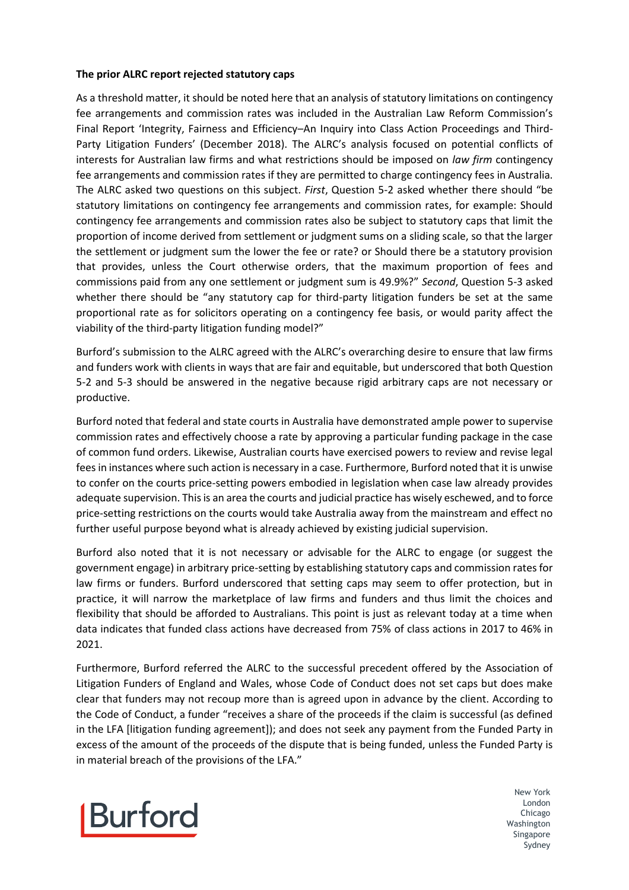## **The prior ALRC report rejected statutory caps**

As a threshold matter, it should be noted here that an analysis of statutory limitations on contingency fee arrangements and commission rates was included in the Australian Law Reform Commission's Final Report 'Integrity, Fairness and Efficiency–An Inquiry into Class Action Proceedings and Third-Party Litigation Funders' (December 2018). The ALRC's analysis focused on potential conflicts of interests for Australian law firms and what restrictions should be imposed on *law firm* contingency fee arrangements and commission rates if they are permitted to charge contingency fees in Australia. The ALRC asked two questions on this subject. *First*, Question 5-2 asked whether there should "be statutory limitations on contingency fee arrangements and commission rates, for example: Should contingency fee arrangements and commission rates also be subject to statutory caps that limit the proportion of income derived from settlement or judgment sums on a sliding scale, so that the larger the settlement or judgment sum the lower the fee or rate? or Should there be a statutory provision that provides, unless the Court otherwise orders, that the maximum proportion of fees and commissions paid from any one settlement or judgment sum is 49.9%?" *Second*, Question 5-3 asked whether there should be "any statutory cap for third-party litigation funders be set at the same proportional rate as for solicitors operating on a contingency fee basis, or would parity affect the viability of the third-party litigation funding model?"

Burford's submission to the ALRC agreed with the ALRC's overarching desire to ensure that law firms and funders work with clients in ways that are fair and equitable, but underscored that both Question 5-2 and 5-3 should be answered in the negative because rigid arbitrary caps are not necessary or productive.

Burford noted that federal and state courts in Australia have demonstrated ample power to supervise commission rates and effectively choose a rate by approving a particular funding package in the case of common fund orders. Likewise, Australian courts have exercised powers to review and revise legal fees in instances where such action is necessary in a case. Furthermore, Burford noted that it is unwise to confer on the courts price-setting powers embodied in legislation when case law already provides adequate supervision. This is an area the courts and judicial practice has wisely eschewed, and to force price-setting restrictions on the courts would take Australia away from the mainstream and effect no further useful purpose beyond what is already achieved by existing judicial supervision.

Burford also noted that it is not necessary or advisable for the ALRC to engage (or suggest the government engage) in arbitrary price-setting by establishing statutory caps and commission rates for law firms or funders. Burford underscored that setting caps may seem to offer protection, but in practice, it will narrow the marketplace of law firms and funders and thus limit the choices and flexibility that should be afforded to Australians. This point is just as relevant today at a time when data indicates that funded class actions have decreased from 75% of class actions in 2017 to 46% in 2021.

Furthermore, Burford referred the ALRC to the successful precedent offered by the Association of Litigation Funders of England and Wales, whose Code of Conduct does not set caps but does make clear that funders may not recoup more than is agreed upon in advance by the client. According to the Code of Conduct, a funder "receives a share of the proceeds if the claim is successful (as defined in the LFA [litigation funding agreement]); and does not seek any payment from the Funded Party in excess of the amount of the proceeds of the dispute that is being funded, unless the Funded Party is in material breach of the provisions of the LFA."

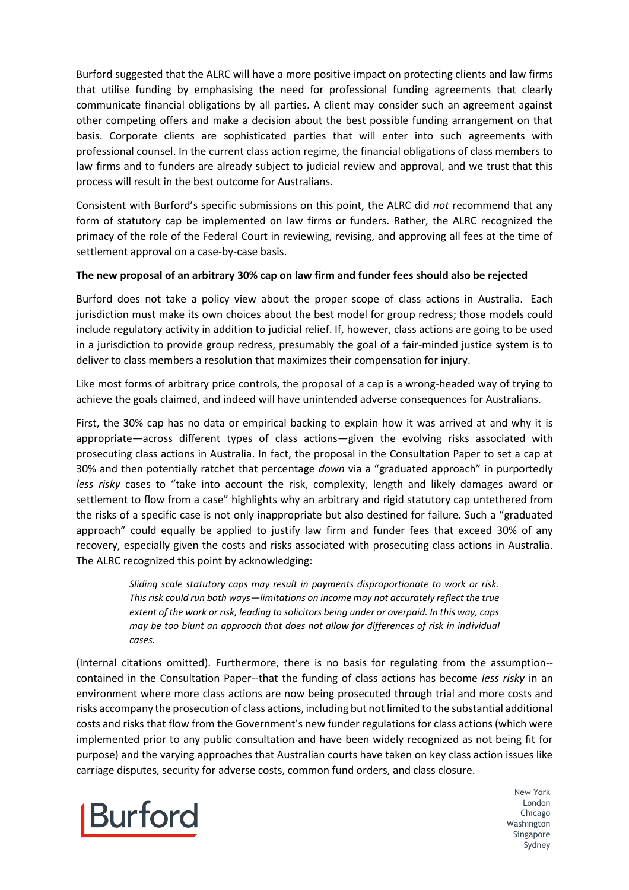Burford suggested that the ALRC will have a more positive impact on protecting clients and law firms that utilise funding by emphasising the need for professional funding agreements that clearly communicate financial obligations by all parties. A client may consider such an agreement against other competing offers and make a decision about the best possible funding arrangement on that basis. Corporate clients are sophisticated parties that will enter into such agreements with professional counsel. In the current class action regime, the financial obligations of class members to law firms and to funders are already subject to judicial review and approval, and we trust that this process will result in the best outcome for Australians.

Consistent with Burford's specific submissions on this point, the ALRC did *not* recommend that any form of statutory cap be implemented on law firms or funders. Rather, the ALRC recognized the primacy of the role of the Federal Court in reviewing, revising, and approving all fees at the time of settlement approval on a case-by-case basis.

## **The new proposal of an arbitrary 30% cap on law firm and funder fees should also be rejected**

Burford does not take a policy view about the proper scope of class actions in Australia. Each jurisdiction must make its own choices about the best model for group redress; those models could include regulatory activity in addition to judicial relief. If, however, class actions are going to be used in a jurisdiction to provide group redress, presumably the goal of a fair-minded justice system is to deliver to class members a resolution that maximizes their compensation for injury.

Like most forms of arbitrary price controls, the proposal of a cap is a wrong-headed way of trying to achieve the goals claimed, and indeed will have unintended adverse consequences for Australians.

First, the 30% cap has no data or empirical backing to explain how it was arrived at and why it is appropriate—across different types of class actions—given the evolving risks associated with prosecuting class actions in Australia. In fact, the proposal in the Consultation Paper to set a cap at 30% and then potentially ratchet that percentage *down* via a "graduated approach" in purportedly *less risky* cases to "take into account the risk, complexity, length and likely damages award or settlement to flow from a case" highlights why an arbitrary and rigid statutory cap untethered from the risks of a specific case is not only inappropriate but also destined for failure. Such a "graduated approach" could equally be applied to justify law firm and funder fees that exceed 30% of any recovery, especially given the costs and risks associated with prosecuting class actions in Australia. The ALRC recognized this point by acknowledging:

> *Sliding scale statutory caps may result in payments disproportionate to work or risk. Thisrisk could run both ways—limitations on income may not accurately reflect the true extent of the work or risk, leading to solicitors being under or overpaid. In this way, caps may be too blunt an approach that does not allow for differences of risk in individual cases.*

(Internal citations omitted). Furthermore, there is no basis for regulating from the assumption- contained in the Consultation Paper--that the funding of class actions has become *less risky* in an environment where more class actions are now being prosecuted through trial and more costs and risks accompany the prosecution of class actions, including but not limited to the substantial additional costs and risks that flow from the Government's new funder regulations for class actions (which were implemented prior to any public consultation and have been widely recognized as not being fit for purpose) and the varying approaches that Australian courts have taken on key class action issues like carriage disputes, security for adverse costs, common fund orders, and class closure.

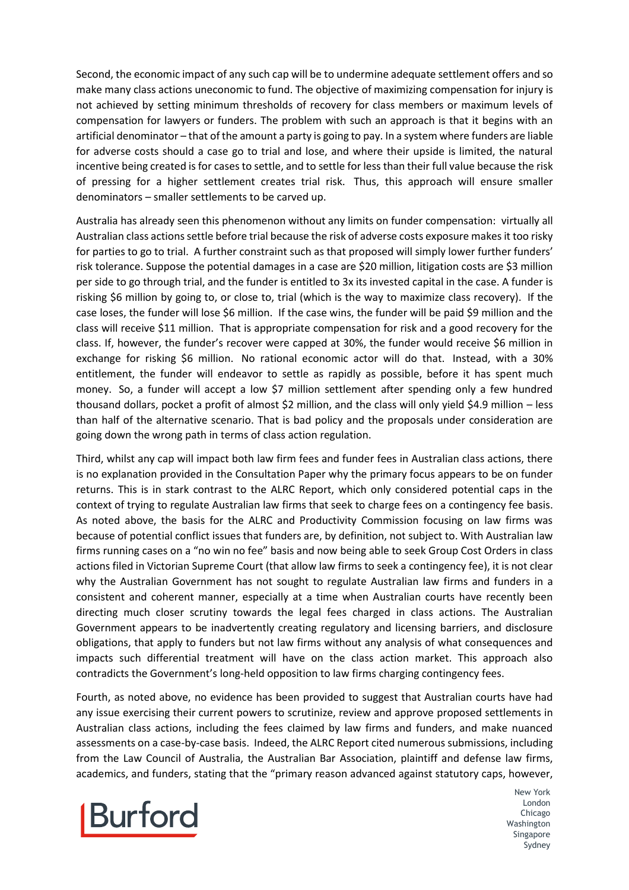Second, the economic impact of any such cap will be to undermine adequate settlement offers and so make many class actions uneconomic to fund. The objective of maximizing compensation for injury is not achieved by setting minimum thresholds of recovery for class members or maximum levels of compensation for lawyers or funders. The problem with such an approach is that it begins with an artificial denominator – that of the amount a party is going to pay. In a system where funders are liable for adverse costs should a case go to trial and lose, and where their upside is limited, the natural incentive being created is for cases to settle, and to settle for less than their full value because the risk of pressing for a higher settlement creates trial risk. Thus, this approach will ensure smaller denominators – smaller settlements to be carved up.

Australia has already seen this phenomenon without any limits on funder compensation: virtually all Australian class actions settle before trial because the risk of adverse costs exposure makes it too risky for parties to go to trial. A further constraint such as that proposed will simply lower further funders' risk tolerance. Suppose the potential damages in a case are \$20 million, litigation costs are \$3 million per side to go through trial, and the funder is entitled to 3x its invested capital in the case. A funder is risking \$6 million by going to, or close to, trial (which is the way to maximize class recovery). If the case loses, the funder will lose \$6 million. If the case wins, the funder will be paid \$9 million and the class will receive \$11 million. That is appropriate compensation for risk and a good recovery for the class. If, however, the funder's recover were capped at 30%, the funder would receive \$6 million in exchange for risking \$6 million. No rational economic actor will do that. Instead, with a 30% entitlement, the funder will endeavor to settle as rapidly as possible, before it has spent much money. So, a funder will accept a low \$7 million settlement after spending only a few hundred thousand dollars, pocket a profit of almost \$2 million, and the class will only yield \$4.9 million – less than half of the alternative scenario. That is bad policy and the proposals under consideration are going down the wrong path in terms of class action regulation.

Third, whilst any cap will impact both law firm fees and funder fees in Australian class actions, there is no explanation provided in the Consultation Paper why the primary focus appears to be on funder returns. This is in stark contrast to the ALRC Report, which only considered potential caps in the context of trying to regulate Australian law firms that seek to charge fees on a contingency fee basis. As noted above, the basis for the ALRC and Productivity Commission focusing on law firms was because of potential conflict issues that funders are, by definition, not subject to. With Australian law firms running cases on a "no win no fee" basis and now being able to seek Group Cost Orders in class actions filed in Victorian Supreme Court (that allow law firms to seek a contingency fee), it is not clear why the Australian Government has not sought to regulate Australian law firms and funders in a consistent and coherent manner, especially at a time when Australian courts have recently been directing much closer scrutiny towards the legal fees charged in class actions. The Australian Government appears to be inadvertently creating regulatory and licensing barriers, and disclosure obligations, that apply to funders but not law firms without any analysis of what consequences and impacts such differential treatment will have on the class action market. This approach also contradicts the Government's long-held opposition to law firms charging contingency fees.

Fourth, as noted above, no evidence has been provided to suggest that Australian courts have had any issue exercising their current powers to scrutinize, review and approve proposed settlements in Australian class actions, including the fees claimed by law firms and funders, and make nuanced assessments on a case-by-case basis. Indeed, the ALRC Report cited numerous submissions, including from the Law Council of Australia, the Australian Bar Association, plaintiff and defense law firms, academics, and funders, stating that the "primary reason advanced against statutory caps, however,